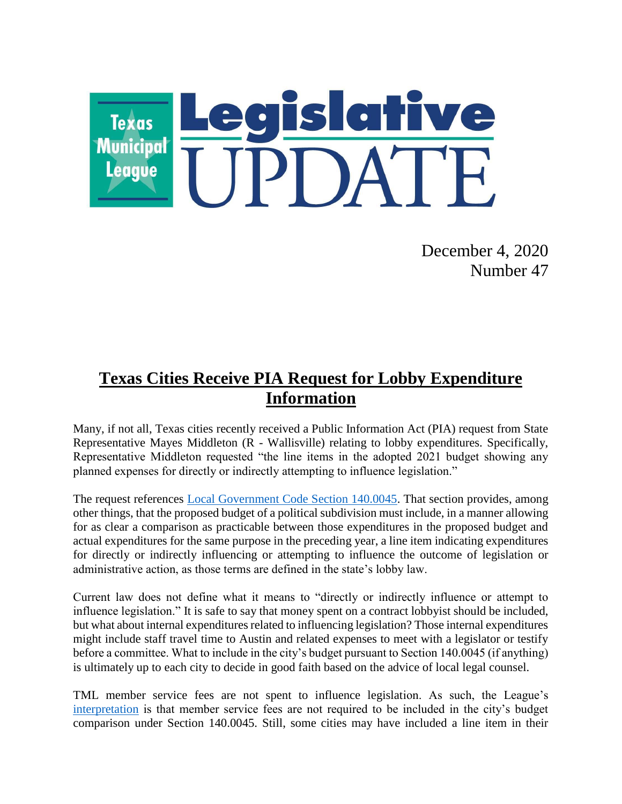

December 4, 2020 Number 47

## **Texas Cities Receive PIA Request for Lobby Expenditure Information**

Many, if not all, Texas cities recently received a Public Information Act (PIA) request from State Representative Mayes Middleton (R - Wallisville) relating to lobby expenditures. Specifically, Representative Middleton requested "the line items in the adopted 2021 budget showing any planned expenses for directly or indirectly attempting to influence legislation."

The request references [Local Government Code Section 140.0045.](https://statutes.capitol.texas.gov/Docs/LG/htm/LG.140.htm#140.0045) That section provides, among other things, that the proposed budget of a political subdivision must include, in a manner allowing for as clear a comparison as practicable between those expenditures in the proposed budget and actual expenditures for the same purpose in the preceding year, a line item indicating expenditures for directly or indirectly influencing or attempting to influence the outcome of legislation or administrative action, as those terms are defined in the state's lobby law.

Current law does not define what it means to "directly or indirectly influence or attempt to influence legislation." It is safe to say that money spent on a contract lobbyist should be included, but what about internal expenditures related to influencing legislation? Those internal expenditures might include staff travel time to Austin and related expenses to meet with a legislator or testify before a committee. What to include in the city's budget pursuant to Section 140.0045 (if anything) is ultimately up to each city to decide in good faith based on the advice of local legal counsel.

TML member service fees are not spent to influence legislation. As such, the League's [interpretation](https://www.tml.org/608/July-12-2019-Number-28#lobbyreporting) is that member service fees are not required to be included in the city's budget comparison under Section 140.0045. Still, some cities may have included a line item in their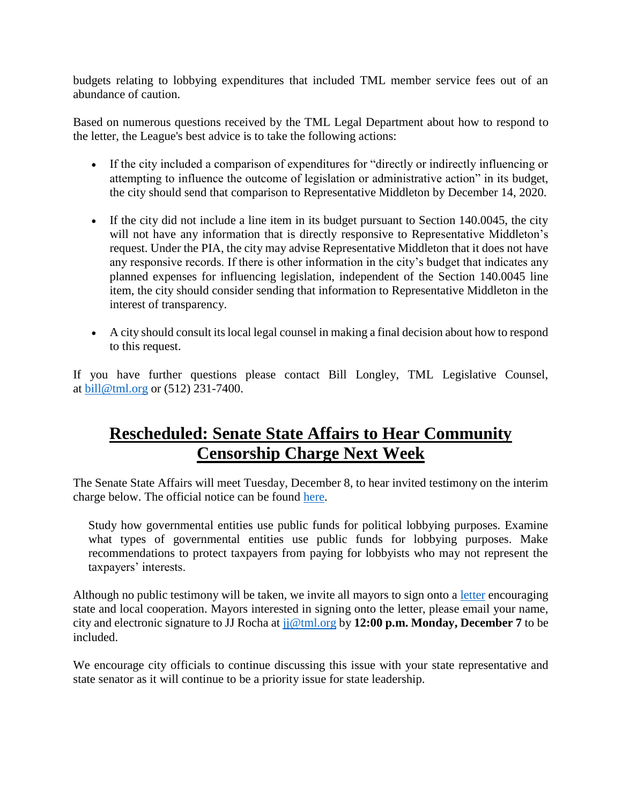budgets relating to lobbying expenditures that included TML member service fees out of an abundance of caution.

Based on numerous questions received by the TML Legal Department about how to respond to the letter, the League's best advice is to take the following actions:

- If the city included a comparison of expenditures for "directly or indirectly influencing or attempting to influence the outcome of legislation or administrative action" in its budget, the city should send that comparison to Representative Middleton by December 14, 2020.
- If the city did not include a line item in its budget pursuant to Section 140.0045, the city will not have any information that is directly responsive to Representative Middleton's request. Under the PIA, the city may advise Representative Middleton that it does not have any responsive records. If there is other information in the city's budget that indicates any planned expenses for influencing legislation, independent of the Section 140.0045 line item, the city should consider sending that information to Representative Middleton in the interest of transparency.
- A city should consult its local legal counsel in making a final decision about how to respond to this request.

If you have further questions please contact Bill Longley, TML Legislative Counsel, at [bill@tml.org](mailto:bill@tml.org) or (512) 231-7400.

### **Rescheduled: Senate State Affairs to Hear Community Censorship Charge Next Week**

The Senate State Affairs will meet Tuesday, December 8, to hear invited testimony on the interim charge below. The official notice can be found [here.](https://capitol.texas.gov/tlodocs/86R/schedules/pdf/C5702020120813001.PDF)

Study how governmental entities use public funds for political lobbying purposes. Examine what types of governmental entities use public funds for lobbying purposes. Make recommendations to protect taxpayers from paying for lobbyists who may not represent the taxpayers' interests.

Although no public testimony will be taken, we invite all mayors to sign onto a [letter](https://www.tml.org/DocumentCenter/View/2352/StateAffairsDec2020) encouraging state and local cooperation. Mayors interested in signing onto the letter, please email your name, city and electronic signature to JJ Rocha at [jj@tml.org](mailto:jj@tml.org) by **12:00 p.m. Monday, December 7** to be included.

We encourage city officials to continue discussing this issue with your state representative and state senator as it will continue to be a priority issue for state leadership.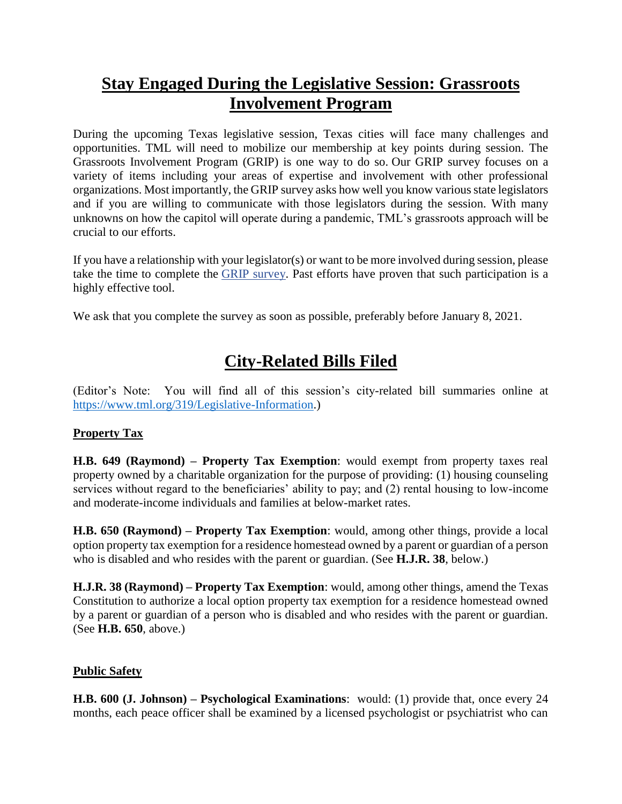## **Stay Engaged During the Legislative Session: Grassroots Involvement Program**

During the upcoming Texas legislative session, Texas cities will face many challenges and opportunities. TML will need to mobilize our membership at key points during session. The Grassroots Involvement Program (GRIP) is one way to do so. Our GRIP survey focuses on a variety of items including your areas of expertise and involvement with other professional organizations. Most importantly, the GRIP survey asks how well you know various state legislators and if you are willing to communicate with those legislators during the session. With many unknowns on how the capitol will operate during a pandemic, TML's grassroots approach will be crucial to our efforts.

If you have a relationship with your legislator(s) or want to be more involved during session, please take the time to complete the [GRIP survey.](https://tml.co1.qualtrics.com/jfe/form/SV_bynhW1yMazt7rV3) Past efforts have proven that such participation is a highly effective tool.

We ask that you complete the survey as soon as possible, preferably before January 8, 2021.

# **City-Related Bills Filed**

(Editor's Note: You will find all of this session's city-related bill summaries online at [https://www.tml.org/319/Legislative-Information.](https://www.tml.org/319/Legislative-Information))

### **Property Tax**

**H.B. 649 (Raymond) – Property Tax Exemption**: would exempt from property taxes real property owned by a charitable organization for the purpose of providing: (1) housing counseling services without regard to the beneficiaries' ability to pay; and  $(2)$  rental housing to low-income and moderate-income individuals and families at below-market rates.

**H.B. 650 (Raymond) – Property Tax Exemption**: would, among other things, provide a local option property tax exemption for a residence homestead owned by a parent or guardian of a person who is disabled and who resides with the parent or guardian. (See **H.J.R. 38**, below.)

**H.J.R. 38 (Raymond) – Property Tax Exemption**: would, among other things, amend the Texas Constitution to authorize a local option property tax exemption for a residence homestead owned by a parent or guardian of a person who is disabled and who resides with the parent or guardian. (See **H.B. 650**, above.)

#### **Public Safety**

**H.B. 600 (J. Johnson) – Psychological Examinations**: would: (1) provide that, once every 24 months, each peace officer shall be examined by a licensed psychologist or psychiatrist who can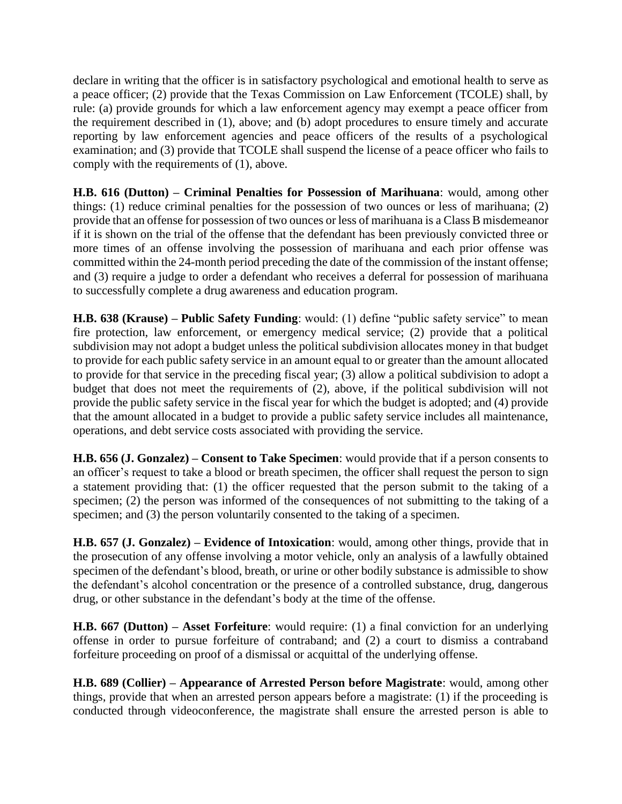declare in writing that the officer is in satisfactory psychological and emotional health to serve as a peace officer; (2) provide that the Texas Commission on Law Enforcement (TCOLE) shall, by rule: (a) provide grounds for which a law enforcement agency may exempt a peace officer from the requirement described in (1), above; and (b) adopt procedures to ensure timely and accurate reporting by law enforcement agencies and peace officers of the results of a psychological examination; and (3) provide that TCOLE shall suspend the license of a peace officer who fails to comply with the requirements of (1), above.

**H.B. 616 (Dutton) – Criminal Penalties for Possession of Marihuana**: would, among other things: (1) reduce criminal penalties for the possession of two ounces or less of marihuana; (2) provide that an offense for possession of two ounces or less of marihuana is a Class B misdemeanor if it is shown on the trial of the offense that the defendant has been previously convicted three or more times of an offense involving the possession of marihuana and each prior offense was committed within the 24-month period preceding the date of the commission of the instant offense; and (3) require a judge to order a defendant who receives a deferral for possession of marihuana to successfully complete a drug awareness and education program.

**H.B. 638 (Krause) – Public Safety Funding**: would: (1) define "public safety service" to mean fire protection, law enforcement, or emergency medical service; (2) provide that a political subdivision may not adopt a budget unless the political subdivision allocates money in that budget to provide for each public safety service in an amount equal to or greater than the amount allocated to provide for that service in the preceding fiscal year; (3) allow a political subdivision to adopt a budget that does not meet the requirements of (2), above, if the political subdivision will not provide the public safety service in the fiscal year for which the budget is adopted; and (4) provide that the amount allocated in a budget to provide a public safety service includes all maintenance, operations, and debt service costs associated with providing the service.

**H.B. 656 (J. Gonzalez) – Consent to Take Specimen**: would provide that if a person consents to an officer's request to take a blood or breath specimen, the officer shall request the person to sign a statement providing that: (1) the officer requested that the person submit to the taking of a specimen; (2) the person was informed of the consequences of not submitting to the taking of a specimen; and (3) the person voluntarily consented to the taking of a specimen.

**H.B. 657 (J. Gonzalez) – Evidence of Intoxication**: would, among other things, provide that in the prosecution of any offense involving a motor vehicle, only an analysis of a lawfully obtained specimen of the defendant's blood, breath, or urine or other bodily substance is admissible to show the defendant's alcohol concentration or the presence of a controlled substance, drug, dangerous drug, or other substance in the defendant's body at the time of the offense.

**H.B. 667 (Dutton) – Asset Forfeiture**: would require: (1) a final conviction for an underlying offense in order to pursue forfeiture of contraband; and (2) a court to dismiss a contraband forfeiture proceeding on proof of a dismissal or acquittal of the underlying offense.

**H.B. 689 (Collier) – Appearance of Arrested Person before Magistrate**: would, among other things, provide that when an arrested person appears before a magistrate: (1) if the proceeding is conducted through videoconference, the magistrate shall ensure the arrested person is able to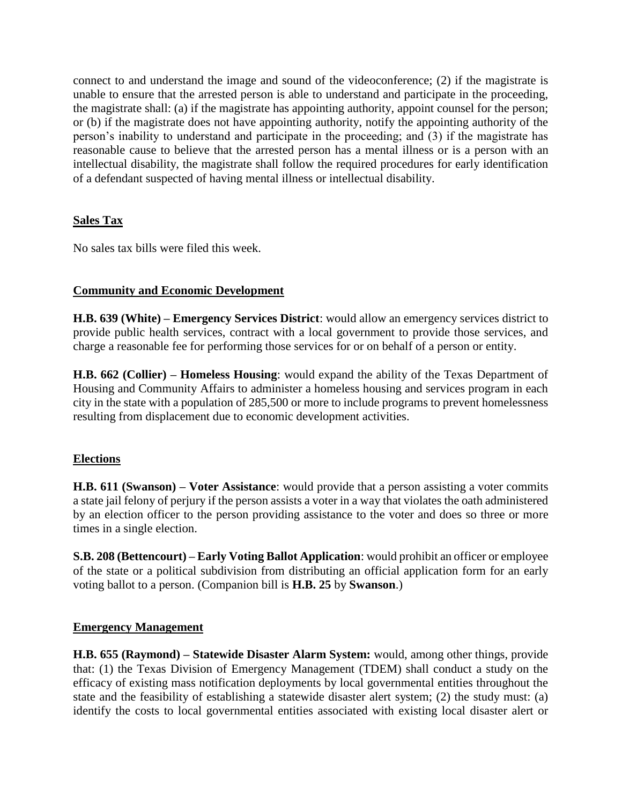connect to and understand the image and sound of the videoconference; (2) if the magistrate is unable to ensure that the arrested person is able to understand and participate in the proceeding, the magistrate shall: (a) if the magistrate has appointing authority, appoint counsel for the person; or (b) if the magistrate does not have appointing authority, notify the appointing authority of the person's inability to understand and participate in the proceeding; and (3) if the magistrate has reasonable cause to believe that the arrested person has a mental illness or is a person with an intellectual disability, the magistrate shall follow the required procedures for early identification of a defendant suspected of having mental illness or intellectual disability.

#### **Sales Tax**

No sales tax bills were filed this week.

#### **Community and Economic Development**

**H.B. 639 (White) – Emergency Services District**: would allow an emergency services district to provide public health services, contract with a local government to provide those services, and charge a reasonable fee for performing those services for or on behalf of a person or entity.

**H.B. 662 (Collier) – Homeless Housing**: would expand the ability of the Texas Department of Housing and Community Affairs to administer a homeless housing and services program in each city in the state with a population of 285,500 or more to include programs to prevent homelessness resulting from displacement due to economic development activities.

#### **Elections**

**H.B. 611 (Swanson) – Voter Assistance**: would provide that a person assisting a voter commits a state jail felony of perjury if the person assists a voter in a way that violates the oath administered by an election officer to the person providing assistance to the voter and does so three or more times in a single election.

**S.B. 208 (Bettencourt) – Early Voting Ballot Application**: would prohibit an officer or employee of the state or a political subdivision from distributing an official application form for an early voting ballot to a person. (Companion bill is **H.B. 25** by **Swanson**.)

#### **Emergency Management**

**H.B. 655 (Raymond) – Statewide Disaster Alarm System:** would, among other things, provide that: (1) the Texas Division of Emergency Management (TDEM) shall conduct a study on the efficacy of existing mass notification deployments by local governmental entities throughout the state and the feasibility of establishing a statewide disaster alert system; (2) the study must: (a) identify the costs to local governmental entities associated with existing local disaster alert or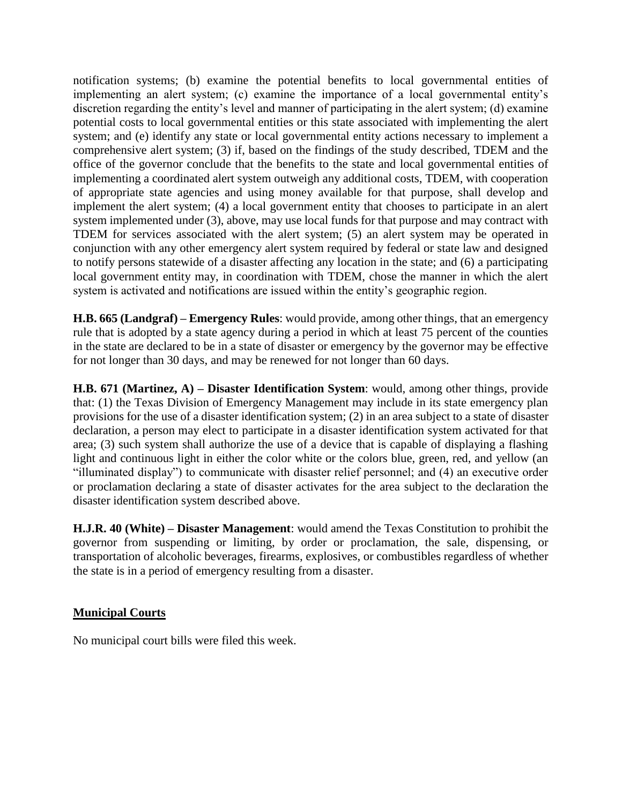notification systems; (b) examine the potential benefits to local governmental entities of implementing an alert system; (c) examine the importance of a local governmental entity's discretion regarding the entity's level and manner of participating in the alert system; (d) examine potential costs to local governmental entities or this state associated with implementing the alert system; and (e) identify any state or local governmental entity actions necessary to implement a comprehensive alert system; (3) if, based on the findings of the study described, TDEM and the office of the governor conclude that the benefits to the state and local governmental entities of implementing a coordinated alert system outweigh any additional costs, TDEM, with cooperation of appropriate state agencies and using money available for that purpose, shall develop and implement the alert system; (4) a local government entity that chooses to participate in an alert system implemented under (3), above, may use local funds for that purpose and may contract with TDEM for services associated with the alert system; (5) an alert system may be operated in conjunction with any other emergency alert system required by federal or state law and designed to notify persons statewide of a disaster affecting any location in the state; and (6) a participating local government entity may, in coordination with TDEM, chose the manner in which the alert system is activated and notifications are issued within the entity's geographic region.

**H.B. 665 (Landgraf) – Emergency Rules**: would provide, among other things, that an emergency rule that is adopted by a state agency during a period in which at least 75 percent of the counties in the state are declared to be in a state of disaster or emergency by the governor may be effective for not longer than 30 days, and may be renewed for not longer than 60 days.

**H.B. 671 (Martinez, A) – Disaster Identification System**: would, among other things, provide that: (1) the Texas Division of Emergency Management may include in its state emergency plan provisions for the use of a disaster identification system; (2) in an area subject to a state of disaster declaration, a person may elect to participate in a disaster identification system activated for that area; (3) such system shall authorize the use of a device that is capable of displaying a flashing light and continuous light in either the color white or the colors blue, green, red, and yellow (an "illuminated display") to communicate with disaster relief personnel; and (4) an executive order or proclamation declaring a state of disaster activates for the area subject to the declaration the disaster identification system described above.

**H.J.R. 40 (White) – Disaster Management**: would amend the Texas Constitution to prohibit the governor from suspending or limiting, by order or proclamation, the sale, dispensing, or transportation of alcoholic beverages, firearms, explosives, or combustibles regardless of whether the state is in a period of emergency resulting from a disaster.

#### **Municipal Courts**

No municipal court bills were filed this week.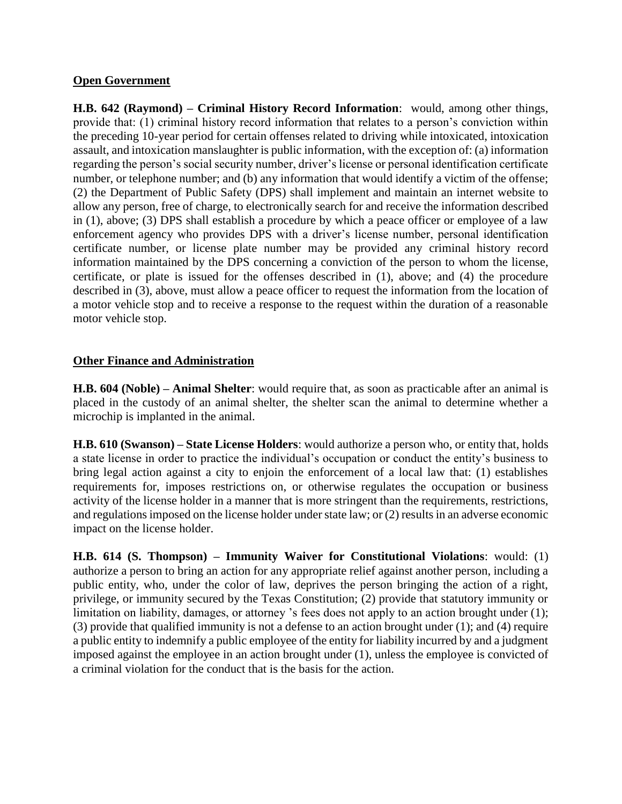#### **Open Government**

**H.B. 642 (Raymond) – Criminal History Record Information**: would, among other things, provide that: (1) criminal history record information that relates to a person's conviction within the preceding 10-year period for certain offenses related to driving while intoxicated, intoxication assault, and intoxication manslaughter is public information, with the exception of: (a) information regarding the person's social security number, driver's license or personal identification certificate number, or telephone number; and (b) any information that would identify a victim of the offense; (2) the Department of Public Safety (DPS) shall implement and maintain an internet website to allow any person, free of charge, to electronically search for and receive the information described in (1), above; (3) DPS shall establish a procedure by which a peace officer or employee of a law enforcement agency who provides DPS with a driver's license number, personal identification certificate number, or license plate number may be provided any criminal history record information maintained by the DPS concerning a conviction of the person to whom the license, certificate, or plate is issued for the offenses described in (1), above; and (4) the procedure described in (3), above, must allow a peace officer to request the information from the location of a motor vehicle stop and to receive a response to the request within the duration of a reasonable motor vehicle stop.

#### **Other Finance and Administration**

**H.B. 604 (Noble) – Animal Shelter**: would require that, as soon as practicable after an animal is placed in the custody of an animal shelter, the shelter scan the animal to determine whether a microchip is implanted in the animal.

**H.B. 610 (Swanson) – State License Holders**: would authorize a person who, or entity that, holds a state license in order to practice the individual's occupation or conduct the entity's business to bring legal action against a city to enjoin the enforcement of a local law that: (1) establishes requirements for, imposes restrictions on, or otherwise regulates the occupation or business activity of the license holder in a manner that is more stringent than the requirements, restrictions, and regulations imposed on the license holder under state law; or (2) results in an adverse economic impact on the license holder.

**H.B. 614 (S. Thompson) – Immunity Waiver for Constitutional Violations**: would: (1) authorize a person to bring an action for any appropriate relief against another person, including a public entity, who, under the color of law, deprives the person bringing the action of a right, privilege, or immunity secured by the Texas Constitution; (2) provide that statutory immunity or limitation on liability, damages, or attorney 's fees does not apply to an action brought under (1); (3) provide that qualified immunity is not a defense to an action brought under (1); and (4) require a public entity to indemnify a public employee of the entity for liability incurred by and a judgment imposed against the employee in an action brought under (1), unless the employee is convicted of a criminal violation for the conduct that is the basis for the action.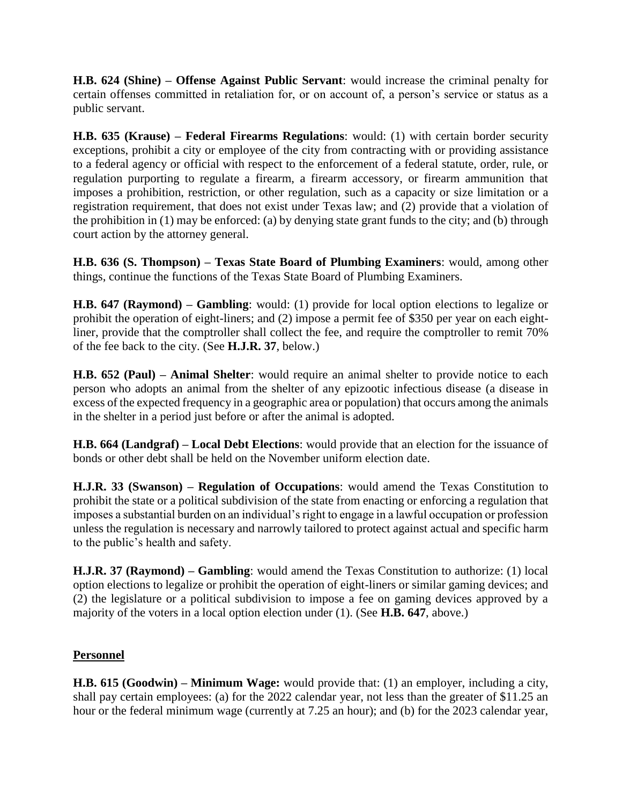**H.B. 624 (Shine) – Offense Against Public Servant**: would increase the criminal penalty for certain offenses committed in retaliation for, or on account of, a person's service or status as a public servant.

**H.B. 635 (Krause) – Federal Firearms Regulations**: would: (1) with certain border security exceptions, prohibit a city or employee of the city from contracting with or providing assistance to a federal agency or official with respect to the enforcement of a federal statute, order, rule, or regulation purporting to regulate a firearm, a firearm accessory, or firearm ammunition that imposes a prohibition, restriction, or other regulation, such as a capacity or size limitation or a registration requirement, that does not exist under Texas law; and (2) provide that a violation of the prohibition in (1) may be enforced: (a) by denying state grant funds to the city; and (b) through court action by the attorney general.

**H.B. 636 (S. Thompson) – Texas State Board of Plumbing Examiners**: would, among other things, continue the functions of the Texas State Board of Plumbing Examiners.

**H.B. 647 (Raymond) – Gambling**: would: (1) provide for local option elections to legalize or prohibit the operation of eight-liners; and (2) impose a permit fee of \$350 per year on each eightliner, provide that the comptroller shall collect the fee, and require the comptroller to remit 70% of the fee back to the city. (See **H.J.R. 37**, below.)

**H.B. 652 (Paul) – Animal Shelter**: would require an animal shelter to provide notice to each person who adopts an animal from the shelter of any epizootic infectious disease (a disease in excess of the expected frequency in a geographic area or population) that occurs among the animals in the shelter in a period just before or after the animal is adopted.

**H.B. 664 (Landgraf) – Local Debt Elections**: would provide that an election for the issuance of bonds or other debt shall be held on the November uniform election date.

**H.J.R. 33 (Swanson) – Regulation of Occupations**: would amend the Texas Constitution to prohibit the state or a political subdivision of the state from enacting or enforcing a regulation that imposes a substantial burden on an individual's right to engage in a lawful occupation or profession unless the regulation is necessary and narrowly tailored to protect against actual and specific harm to the public's health and safety.

**H.J.R. 37 (Raymond) – Gambling**: would amend the Texas Constitution to authorize: (1) local option elections to legalize or prohibit the operation of eight-liners or similar gaming devices; and (2) the legislature or a political subdivision to impose a fee on gaming devices approved by a majority of the voters in a local option election under (1). (See **H.B. 647**, above.)

#### **Personnel**

**H.B. 615 (Goodwin) – Minimum Wage:** would provide that: (1) an employer, including a city, shall pay certain employees: (a) for the 2022 calendar year, not less than the greater of \$11.25 an hour or the federal minimum wage (currently at 7.25 an hour); and (b) for the 2023 calendar year,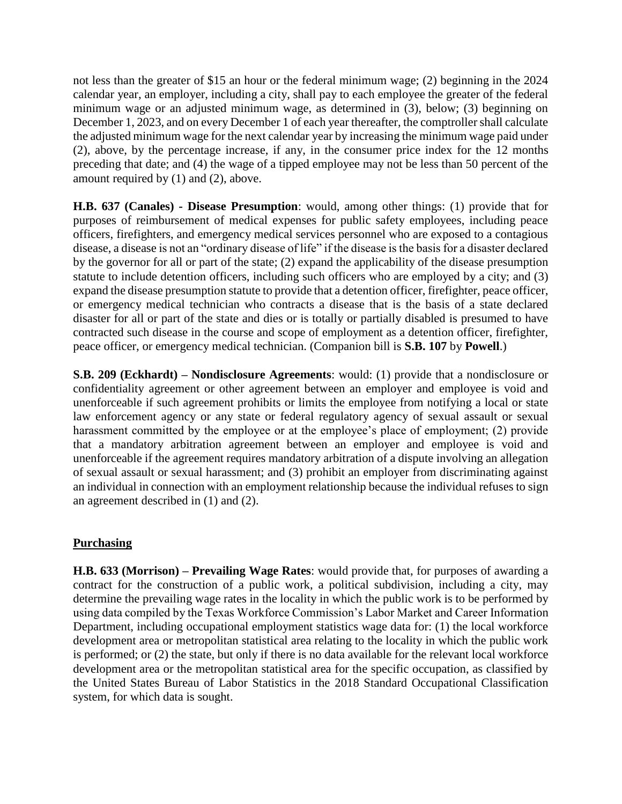not less than the greater of \$15 an hour or the federal minimum wage; (2) beginning in the 2024 calendar year, an employer, including a city, shall pay to each employee the greater of the federal minimum wage or an adjusted minimum wage, as determined in (3), below; (3) beginning on December 1, 2023, and on every December 1 of each year thereafter, the comptroller shall calculate the adjusted minimum wage for the next calendar year by increasing the minimum wage paid under (2), above, by the percentage increase, if any, in the consumer price index for the 12 months preceding that date; and (4) the wage of a tipped employee may not be less than 50 percent of the amount required by (1) and (2), above.

**H.B. 637 (Canales) - Disease Presumption**: would, among other things: (1) provide that for purposes of reimbursement of medical expenses for public safety employees, including peace officers, firefighters, and emergency medical services personnel who are exposed to a contagious disease, a disease is not an "ordinary disease of life" if the disease is the basis for a disaster declared by the governor for all or part of the state; (2) expand the applicability of the disease presumption statute to include detention officers, including such officers who are employed by a city; and (3) expand the disease presumption statute to provide that a detention officer, firefighter, peace officer, or emergency medical technician who contracts a disease that is the basis of a state declared disaster for all or part of the state and dies or is totally or partially disabled is presumed to have contracted such disease in the course and scope of employment as a detention officer, firefighter, peace officer, or emergency medical technician. (Companion bill is **S.B. 107** by **Powell**.)

**S.B. 209 (Eckhardt) – Nondisclosure Agreements**: would: (1) provide that a nondisclosure or confidentiality agreement or other agreement between an employer and employee is void and unenforceable if such agreement prohibits or limits the employee from notifying a local or state law enforcement agency or any state or federal regulatory agency of sexual assault or sexual harassment committed by the employee or at the employee's place of employment; (2) provide that a mandatory arbitration agreement between an employer and employee is void and unenforceable if the agreement requires mandatory arbitration of a dispute involving an allegation of sexual assault or sexual harassment; and (3) prohibit an employer from discriminating against an individual in connection with an employment relationship because the individual refuses to sign an agreement described in (1) and (2).

#### **Purchasing**

**H.B. 633 (Morrison) – Prevailing Wage Rates**: would provide that, for purposes of awarding a contract for the construction of a public work, a political subdivision, including a city, may determine the prevailing wage rates in the locality in which the public work is to be performed by using data compiled by the Texas Workforce Commission's Labor Market and Career Information Department, including occupational employment statistics wage data for: (1) the local workforce development area or metropolitan statistical area relating to the locality in which the public work is performed; or (2) the state, but only if there is no data available for the relevant local workforce development area or the metropolitan statistical area for the specific occupation, as classified by the United States Bureau of Labor Statistics in the 2018 Standard Occupational Classification system, for which data is sought.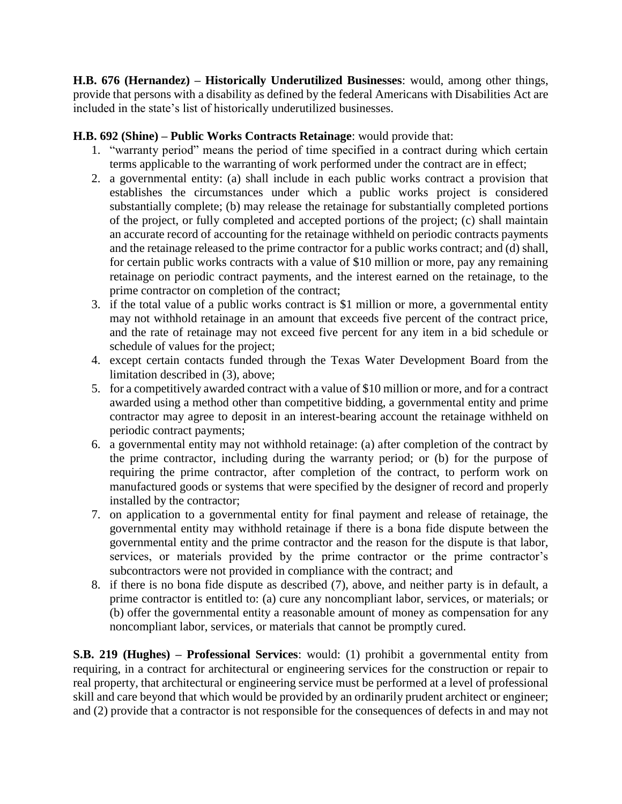**H.B. 676 (Hernandez) – Historically Underutilized Businesses**: would, among other things, provide that persons with a disability as defined by the federal Americans with Disabilities Act are included in the state's list of historically underutilized businesses.

#### **H.B. 692 (Shine) – Public Works Contracts Retainage**: would provide that:

- 1. "warranty period" means the period of time specified in a contract during which certain terms applicable to the warranting of work performed under the contract are in effect;
- 2. a governmental entity: (a) shall include in each public works contract a provision that establishes the circumstances under which a public works project is considered substantially complete; (b) may release the retainage for substantially completed portions of the project, or fully completed and accepted portions of the project; (c) shall maintain an accurate record of accounting for the retainage withheld on periodic contracts payments and the retainage released to the prime contractor for a public works contract; and (d) shall, for certain public works contracts with a value of \$10 million or more, pay any remaining retainage on periodic contract payments, and the interest earned on the retainage, to the prime contractor on completion of the contract;
- 3. if the total value of a public works contract is \$1 million or more, a governmental entity may not withhold retainage in an amount that exceeds five percent of the contract price, and the rate of retainage may not exceed five percent for any item in a bid schedule or schedule of values for the project;
- 4. except certain contacts funded through the Texas Water Development Board from the limitation described in (3), above;
- 5. for a competitively awarded contract with a value of \$10 million or more, and for a contract awarded using a method other than competitive bidding, a governmental entity and prime contractor may agree to deposit in an interest-bearing account the retainage withheld on periodic contract payments;
- 6. a governmental entity may not withhold retainage: (a) after completion of the contract by the prime contractor, including during the warranty period; or (b) for the purpose of requiring the prime contractor, after completion of the contract, to perform work on manufactured goods or systems that were specified by the designer of record and properly installed by the contractor;
- 7. on application to a governmental entity for final payment and release of retainage, the governmental entity may withhold retainage if there is a bona fide dispute between the governmental entity and the prime contractor and the reason for the dispute is that labor, services, or materials provided by the prime contractor or the prime contractor's subcontractors were not provided in compliance with the contract; and
- 8. if there is no bona fide dispute as described (7), above, and neither party is in default, a prime contractor is entitled to: (a) cure any noncompliant labor, services, or materials; or (b) offer the governmental entity a reasonable amount of money as compensation for any noncompliant labor, services, or materials that cannot be promptly cured.

**S.B. 219 (Hughes) – Professional Services**: would: (1) prohibit a governmental entity from requiring, in a contract for architectural or engineering services for the construction or repair to real property, that architectural or engineering service must be performed at a level of professional skill and care beyond that which would be provided by an ordinarily prudent architect or engineer; and (2) provide that a contractor is not responsible for the consequences of defects in and may not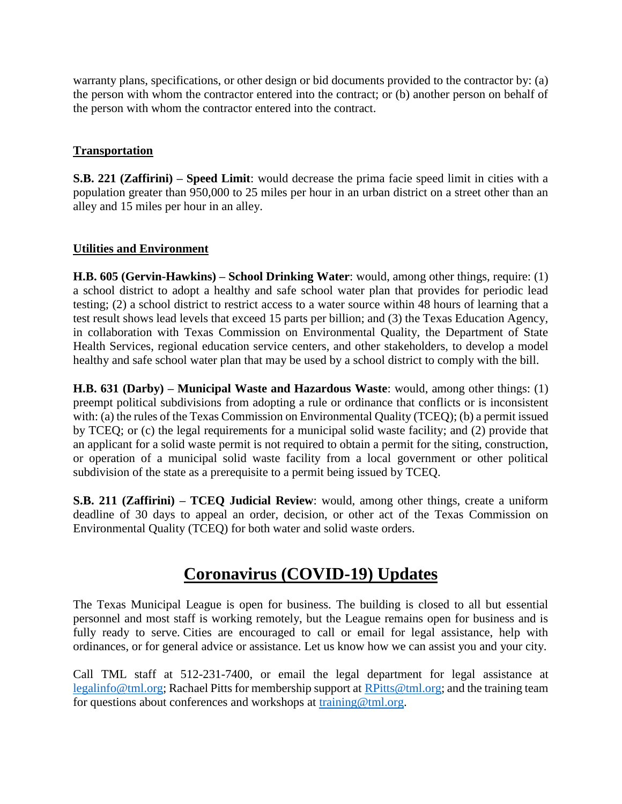warranty plans, specifications, or other design or bid documents provided to the contractor by: (a) the person with whom the contractor entered into the contract; or (b) another person on behalf of the person with whom the contractor entered into the contract.

### **Transportation**

**S.B. 221 (Zaffirini) – Speed Limit**: would decrease the prima facie speed limit in cities with a population greater than 950,000 to 25 miles per hour in an urban district on a street other than an alley and 15 miles per hour in an alley.

#### **Utilities and Environment**

**H.B. 605 (Gervin-Hawkins) – School Drinking Water**: would, among other things, require: (1) a school district to adopt a healthy and safe school water plan that provides for periodic lead testing; (2) a school district to restrict access to a water source within 48 hours of learning that a test result shows lead levels that exceed 15 parts per billion; and (3) the Texas Education Agency, in collaboration with Texas Commission on Environmental Quality, the Department of State Health Services, regional education service centers, and other stakeholders, to develop a model healthy and safe school water plan that may be used by a school district to comply with the bill.

**H.B. 631 (Darby) – Municipal Waste and Hazardous Waste**: would, among other things: (1) preempt political subdivisions from adopting a rule or ordinance that conflicts or is inconsistent with: (a) the rules of the Texas Commission on Environmental Quality (TCEQ); (b) a permit issued by TCEQ; or (c) the legal requirements for a municipal solid waste facility; and (2) provide that an applicant for a solid waste permit is not required to obtain a permit for the siting, construction, or operation of a municipal solid waste facility from a local government or other political subdivision of the state as a prerequisite to a permit being issued by TCEQ.

**S.B. 211 (Zaffirini) – TCEQ Judicial Review**: would, among other things, create a uniform deadline of 30 days to appeal an order, decision, or other act of the Texas Commission on Environmental Quality (TCEQ) for both water and solid waste orders.

### **Coronavirus (COVID-19) Updates**

The Texas Municipal League is open for business. The building is closed to all but essential personnel and most staff is working remotely, but the League remains open for business and is fully ready to serve. Cities are encouraged to call or email for legal assistance, help with ordinances, or for general advice or assistance. Let us know how we can assist you and your city.

Call TML staff at 512-231-7400, or email the legal department for legal assistance at [legalinfo@tml.org;](mailto:legalinfo@tml.org) Rachael Pitts for membership support at [RPitts@tml.org;](mailto:RPitts@tml.org) and the training team for questions about conferences and workshops at [training@tml.org.](mailto:training@tml.org)